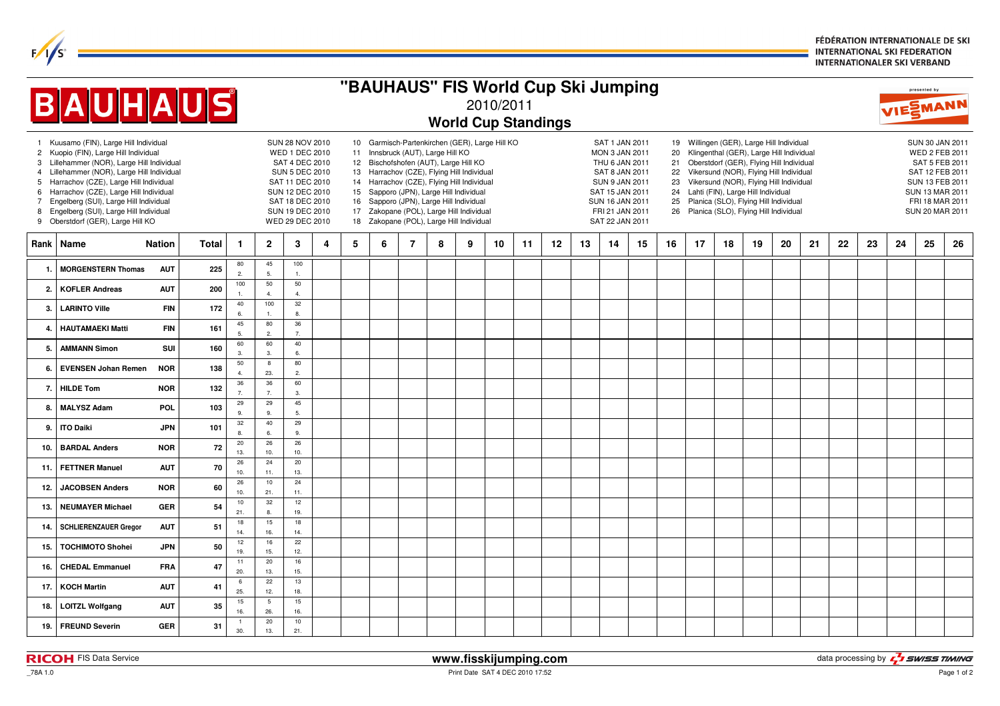FÉDÉRATION INTERNATIONALE DE SKI **INTERNATIONAL SKI FEDERATION INTERNATIONALER SKI VERBAND** 

| "BAUHAUS" FIS World Cup Ski Jumping                                                                                                                                                                                                                                                                                                                                                                                                              |                              |            |              |                            |                         |                                                                                                                                                                                           |   |                                                                                                                                                                                                                                                                                                                                                                                                        |   |                |   |   |    |    | presented by |    |                                                                                                                                                                           |    |                                  |    |    |                                                                                                                                                                                                                                                                                                                                                    |    |                                                                                                                                                    |    |    |    |    |    |
|--------------------------------------------------------------------------------------------------------------------------------------------------------------------------------------------------------------------------------------------------------------------------------------------------------------------------------------------------------------------------------------------------------------------------------------------------|------------------------------|------------|--------------|----------------------------|-------------------------|-------------------------------------------------------------------------------------------------------------------------------------------------------------------------------------------|---|--------------------------------------------------------------------------------------------------------------------------------------------------------------------------------------------------------------------------------------------------------------------------------------------------------------------------------------------------------------------------------------------------------|---|----------------|---|---|----|----|--------------|----|---------------------------------------------------------------------------------------------------------------------------------------------------------------------------|----|----------------------------------|----|----|----------------------------------------------------------------------------------------------------------------------------------------------------------------------------------------------------------------------------------------------------------------------------------------------------------------------------------------------------|----|----------------------------------------------------------------------------------------------------------------------------------------------------|----|----|----|----|----|
| <b>BAUHAUS</b><br>2010/2011                                                                                                                                                                                                                                                                                                                                                                                                                      |                              |            |              |                            |                         |                                                                                                                                                                                           |   |                                                                                                                                                                                                                                                                                                                                                                                                        |   |                |   |   |    |    | VIESMANN     |    |                                                                                                                                                                           |    |                                  |    |    |                                                                                                                                                                                                                                                                                                                                                    |    |                                                                                                                                                    |    |    |    |    |    |
| <b>World Cup Standings</b>                                                                                                                                                                                                                                                                                                                                                                                                                       |                              |            |              |                            |                         |                                                                                                                                                                                           |   |                                                                                                                                                                                                                                                                                                                                                                                                        |   |                |   |   |    |    |              |    |                                                                                                                                                                           |    |                                  |    |    |                                                                                                                                                                                                                                                                                                                                                    |    |                                                                                                                                                    |    |    |    |    |    |
| 1 Kuusamo (FIN), Large Hill Individual<br>Kuopio (FIN), Large Hill Individual<br>$\mathbf{2}$<br>Lillehammer (NOR), Large Hill Individual<br>3<br>Lillehammer (NOR), Large Hill Individual<br>4<br>Harrachov (CZE), Large Hill Individual<br>5<br>Harrachov (CZE), Large Hill Individual<br>6<br>Engelberg (SUI), Large Hill Individual<br>$\overline{7}$<br>Engelberg (SUI), Large Hill Individual<br>8<br>Oberstdorf (GER), Large Hill KO<br>9 |                              |            |              |                            |                         | <b>SUN 28 NOV 2010</b><br><b>WED 1 DEC 2010</b><br>SAT 4 DEC 2010<br><b>SUN 5 DEC 2010</b><br>SAT 11 DEC 2010<br>SUN 12 DEC 2010<br>SAT 18 DEC 2010<br>SUN 19 DEC 2010<br>WED 29 DEC 2010 |   | 10 Garmisch-Partenkirchen (GER), Large Hill KO<br>11 Innsbruck (AUT), Large Hill KO<br>12 Bischofshofen (AUT), Large Hill KO<br>13 Harrachov (CZE), Flying Hill Individual<br>14 Harrachov (CZE), Flying Hill Individual<br>15 Sapporo (JPN), Large Hill Individual<br>16 Sapporo (JPN), Large Hill Individual<br>17 Zakopane (POL), Large Hill Individual<br>18 Zakopane (POL), Large Hill Individual |   |                |   |   |    |    |              |    | SAT 1 JAN 2011<br>MON 3 JAN 2011<br>THU 6 JAN 2011<br>SAT 8 JAN 2011<br><b>SUN 9 JAN 2011</b><br>SAT 15 JAN 2011<br>SUN 16 JAN 2011<br>FRI 21 JAN 2011<br>SAT 22 JAN 2011 |    | 20<br>21<br>22<br>23<br>25<br>26 |    |    | 19 Willingen (GER), Large Hill Individual<br>Klingenthal (GER), Large Hill Individual<br>Oberstdorf (GER), Flying Hill Individual<br>Vikersund (NOR), Flying Hill Individual<br>Vikersund (NOR), Flying Hill Individual<br>24 Lahti (FIN), Large Hill Individual<br>Planica (SLO), Flying Hill Individual<br>Planica (SLO), Flying Hill Individual |    | SUN 30 JAN 2011<br>WED 2 FEB 2011<br>SAT 5 FEB 2011<br>SAT 12 FEB 2011<br>SUN 13 FEB 2011<br>SUN 13 MAR 2011<br>FRI 18 MAR 2011<br>SUN 20 MAR 2011 |    |    |    |    |    |
| Rank                                                                                                                                                                                                                                                                                                                                                                                                                                             | Name<br><b>Nation</b>        |            | <b>Total</b> | $\mathbf{1}$               | $\mathbf{2}$            | 3                                                                                                                                                                                         | 4 | 5                                                                                                                                                                                                                                                                                                                                                                                                      | 6 | $\overline{7}$ | 8 | 9 | 10 | 11 | $12 \,$      | 13 | 14                                                                                                                                                                        | 15 | 16                               | 17 | 18 | 19                                                                                                                                                                                                                                                                                                                                                 | 20 | 21                                                                                                                                                 | 22 | 23 | 24 | 25 | 26 |
| 1                                                                                                                                                                                                                                                                                                                                                                                                                                                | <b>MORGENSTERN Thomas</b>    | <b>AUT</b> | 225          | 80<br>$\overline{2}$       | 45<br>5.                | 100<br>$\overline{1}$                                                                                                                                                                     |   |                                                                                                                                                                                                                                                                                                                                                                                                        |   |                |   |   |    |    |              |    |                                                                                                                                                                           |    |                                  |    |    |                                                                                                                                                                                                                                                                                                                                                    |    |                                                                                                                                                    |    |    |    |    |    |
| $\overline{2}$                                                                                                                                                                                                                                                                                                                                                                                                                                   | <b>KOFLER Andreas</b>        | <b>AUT</b> | 200          | 100<br>1.                  | $50\,$<br>4.            | 50<br>$\overline{4}$                                                                                                                                                                      |   |                                                                                                                                                                                                                                                                                                                                                                                                        |   |                |   |   |    |    |              |    |                                                                                                                                                                           |    |                                  |    |    |                                                                                                                                                                                                                                                                                                                                                    |    |                                                                                                                                                    |    |    |    |    |    |
| $\mathbf{3}$                                                                                                                                                                                                                                                                                                                                                                                                                                     | <b>LARINTO Ville</b>         | <b>FIN</b> | 172          | 40<br>6.                   | 100<br>$\overline{1}$ . | 32<br>8.                                                                                                                                                                                  |   |                                                                                                                                                                                                                                                                                                                                                                                                        |   |                |   |   |    |    |              |    |                                                                                                                                                                           |    |                                  |    |    |                                                                                                                                                                                                                                                                                                                                                    |    |                                                                                                                                                    |    |    |    |    |    |
| 4                                                                                                                                                                                                                                                                                                                                                                                                                                                | <b>HAUTAMAEKI Matti</b>      | <b>FIN</b> | 161          | 45<br>5.                   | 80<br>2.                | 36<br>$\overline{7}$                                                                                                                                                                      |   |                                                                                                                                                                                                                                                                                                                                                                                                        |   |                |   |   |    |    |              |    |                                                                                                                                                                           |    |                                  |    |    |                                                                                                                                                                                                                                                                                                                                                    |    |                                                                                                                                                    |    |    |    |    |    |
| 5                                                                                                                                                                                                                                                                                                                                                                                                                                                | <b>AMMANN Simon</b>          | SUI        | 160          | 60<br>3.                   | 60<br>3.                | 40<br>6                                                                                                                                                                                   |   |                                                                                                                                                                                                                                                                                                                                                                                                        |   |                |   |   |    |    |              |    |                                                                                                                                                                           |    |                                  |    |    |                                                                                                                                                                                                                                                                                                                                                    |    |                                                                                                                                                    |    |    |    |    |    |
| 6.                                                                                                                                                                                                                                                                                                                                                                                                                                               | <b>EVENSEN Johan Remen</b>   | <b>NOR</b> | 138          | 50<br>$\overline{4}$       | 8<br>23.                | 80<br>$\overline{2}$                                                                                                                                                                      |   |                                                                                                                                                                                                                                                                                                                                                                                                        |   |                |   |   |    |    |              |    |                                                                                                                                                                           |    |                                  |    |    |                                                                                                                                                                                                                                                                                                                                                    |    |                                                                                                                                                    |    |    |    |    |    |
| 7.                                                                                                                                                                                                                                                                                                                                                                                                                                               | <b>HILDE Tom</b>             | <b>NOR</b> | 132          | 36<br>$\overline{7}$<br>29 | 36<br>7.<br>29          | 60<br>3.<br>45                                                                                                                                                                            |   |                                                                                                                                                                                                                                                                                                                                                                                                        |   |                |   |   |    |    |              |    |                                                                                                                                                                           |    |                                  |    |    |                                                                                                                                                                                                                                                                                                                                                    |    |                                                                                                                                                    |    |    |    |    |    |
| 8                                                                                                                                                                                                                                                                                                                                                                                                                                                | <b>MALYSZ Adam</b>           | POL        | 103          | 9.<br>32                   | 9.<br>40                | 5.<br>29                                                                                                                                                                                  |   |                                                                                                                                                                                                                                                                                                                                                                                                        |   |                |   |   |    |    |              |    |                                                                                                                                                                           |    |                                  |    |    |                                                                                                                                                                                                                                                                                                                                                    |    |                                                                                                                                                    |    |    |    |    |    |
| 9                                                                                                                                                                                                                                                                                                                                                                                                                                                | <b>ITO Daiki</b>             | <b>JPN</b> | 101          | 8.<br>$20\,$               | 6.<br>26                | 9.<br>26                                                                                                                                                                                  |   |                                                                                                                                                                                                                                                                                                                                                                                                        |   |                |   |   |    |    |              |    |                                                                                                                                                                           |    |                                  |    |    |                                                                                                                                                                                                                                                                                                                                                    |    |                                                                                                                                                    |    |    |    |    |    |
| 10                                                                                                                                                                                                                                                                                                                                                                                                                                               | <b>BARDAL Anders</b>         | <b>NOR</b> | 72           | 13.<br>26                  | 10.<br>24               | 10.<br>20                                                                                                                                                                                 |   |                                                                                                                                                                                                                                                                                                                                                                                                        |   |                |   |   |    |    |              |    |                                                                                                                                                                           |    |                                  |    |    |                                                                                                                                                                                                                                                                                                                                                    |    |                                                                                                                                                    |    |    |    |    |    |
| 11.                                                                                                                                                                                                                                                                                                                                                                                                                                              | <b>FETTNER Manuel</b>        | <b>AUT</b> | 70           | 10.<br>26                  | 11.<br>10               | 13.<br>24                                                                                                                                                                                 |   |                                                                                                                                                                                                                                                                                                                                                                                                        |   |                |   |   |    |    |              |    |                                                                                                                                                                           |    |                                  |    |    |                                                                                                                                                                                                                                                                                                                                                    |    |                                                                                                                                                    |    |    |    |    |    |
| 12.                                                                                                                                                                                                                                                                                                                                                                                                                                              | <b>JACOBSEN Anders</b>       | <b>NOR</b> | 60           | 10.<br>10                  | 21.<br>32               | 11.<br>12                                                                                                                                                                                 |   |                                                                                                                                                                                                                                                                                                                                                                                                        |   |                |   |   |    |    |              |    |                                                                                                                                                                           |    |                                  |    |    |                                                                                                                                                                                                                                                                                                                                                    |    |                                                                                                                                                    |    |    |    |    |    |
| 13                                                                                                                                                                                                                                                                                                                                                                                                                                               | <b>NEUMAYER Michael</b>      | <b>GER</b> | 54           | 21.<br>18                  | 8.<br>15                | 19.<br>18                                                                                                                                                                                 |   |                                                                                                                                                                                                                                                                                                                                                                                                        |   |                |   |   |    |    |              |    |                                                                                                                                                                           |    |                                  |    |    |                                                                                                                                                                                                                                                                                                                                                    |    |                                                                                                                                                    |    |    |    |    |    |
| 14                                                                                                                                                                                                                                                                                                                                                                                                                                               | <b>SCHLIERENZAUER Gregor</b> | <b>AUT</b> | 51           | 14.<br>12                  | 16.<br>16               | 14.<br>22                                                                                                                                                                                 |   |                                                                                                                                                                                                                                                                                                                                                                                                        |   |                |   |   |    |    |              |    |                                                                                                                                                                           |    |                                  |    |    |                                                                                                                                                                                                                                                                                                                                                    |    |                                                                                                                                                    |    |    |    |    |    |
| 15.                                                                                                                                                                                                                                                                                                                                                                                                                                              | <b>TOCHIMOTO Shohei</b>      | <b>JPN</b> | 50           | 19.<br>11                  | 15.<br>20               | 12.<br>16                                                                                                                                                                                 |   |                                                                                                                                                                                                                                                                                                                                                                                                        |   |                |   |   |    |    |              |    |                                                                                                                                                                           |    |                                  |    |    |                                                                                                                                                                                                                                                                                                                                                    |    |                                                                                                                                                    |    |    |    |    |    |
| 16                                                                                                                                                                                                                                                                                                                                                                                                                                               | <b>CHEDAL Emmanuel</b>       | <b>FRA</b> | 47           | 20.<br>6                   | 13.<br>22               | 15.<br>13                                                                                                                                                                                 |   |                                                                                                                                                                                                                                                                                                                                                                                                        |   |                |   |   |    |    |              |    |                                                                                                                                                                           |    |                                  |    |    |                                                                                                                                                                                                                                                                                                                                                    |    |                                                                                                                                                    |    |    |    |    |    |
| 17.                                                                                                                                                                                                                                                                                                                                                                                                                                              | <b>KOCH Martin</b>           | <b>AUT</b> | 41           | 25.<br>15                  | 12.<br>$5\phantom{.0}$  | 18.<br>15                                                                                                                                                                                 |   |                                                                                                                                                                                                                                                                                                                                                                                                        |   |                |   |   |    |    |              |    |                                                                                                                                                                           |    |                                  |    |    |                                                                                                                                                                                                                                                                                                                                                    |    |                                                                                                                                                    |    |    |    |    |    |
| 18.                                                                                                                                                                                                                                                                                                                                                                                                                                              | <b>LOITZL Wolfgang</b>       | <b>AUT</b> | 35           | 16.<br>$\overline{1}$      | 26.<br>20               | 16.<br>$10$                                                                                                                                                                               |   |                                                                                                                                                                                                                                                                                                                                                                                                        |   |                |   |   |    |    |              |    |                                                                                                                                                                           |    |                                  |    |    |                                                                                                                                                                                                                                                                                                                                                    |    |                                                                                                                                                    |    |    |    |    |    |
| 19.                                                                                                                                                                                                                                                                                                                                                                                                                                              | <b>FREUND Severin</b>        | <b>GER</b> | 31           | 30.                        | 13.                     | 21.                                                                                                                                                                                       |   |                                                                                                                                                                                                                                                                                                                                                                                                        |   |                |   |   |    |    |              |    |                                                                                                                                                                           |    |                                  |    |    |                                                                                                                                                                                                                                                                                                                                                    |    |                                                                                                                                                    |    |    |    |    |    |

 $F/1/s^2$